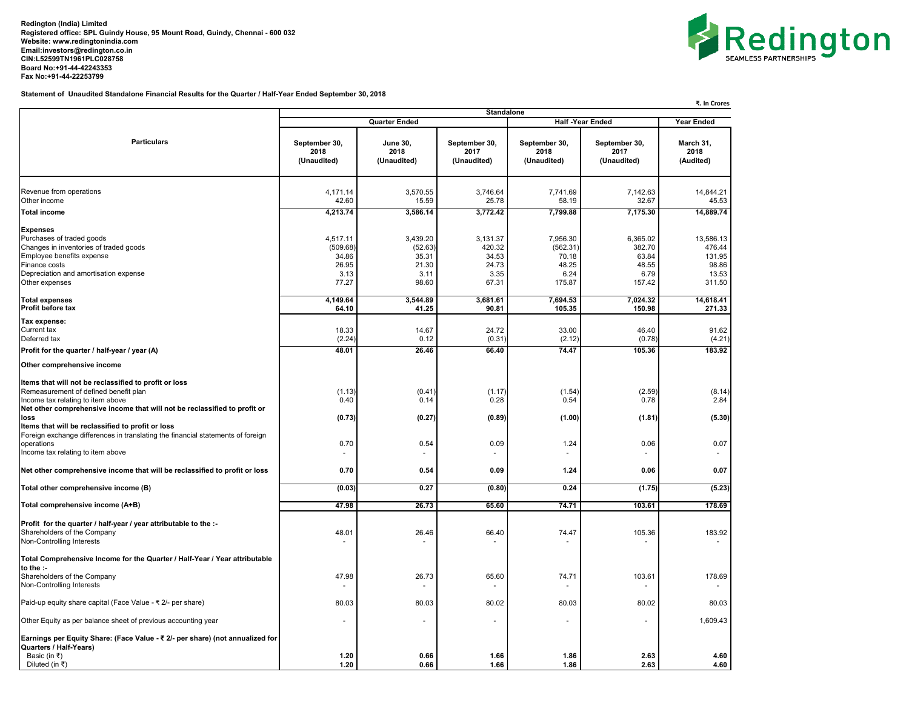**Redington (India) Limited Registered office: SPL Guindy House, 95 Mount Road, Guindy, Chennai - 600 032 Website: [www.redingtonindia.com](http://www.redingtonindia.com) [Email:investors@redington.co.in](mailto:Email:investors@redington.co.in) CIN:L52599TN1961PLC028758 Board No:+91-44-42243353 Fax No:+91-44-22253799**



**Statement of Unaudited Standalone Financial Results for the Quarter / Half-Year Ended September 30, 2018**

| ₹. In Crores                                                               |                                                                                                         |                                                       |                                                          |                                                        |                                                           |  |
|----------------------------------------------------------------------------|---------------------------------------------------------------------------------------------------------|-------------------------------------------------------|----------------------------------------------------------|--------------------------------------------------------|-----------------------------------------------------------|--|
|                                                                            |                                                                                                         |                                                       |                                                          | <b>Year Ended</b>                                      |                                                           |  |
| September 30,<br>2018<br>(Unaudited)                                       | <b>June 30,</b><br>2018<br>(Unaudited)                                                                  | September 30,<br>2017<br>(Unaudited)                  | September 30,<br>2018<br>(Unaudited)                     | September 30,<br>2017<br>(Unaudited)                   | March 31,<br>2018<br>(Audited)                            |  |
| 4,171.14                                                                   | 3,570.55                                                                                                | 3,746.64                                              | 7,741.69                                                 | 7,142.63                                               | 14,844.21                                                 |  |
| 4,213.74                                                                   | 3,586.14                                                                                                | 3,772.42                                              | 7,799.88                                                 | 7,175.30                                               | 45.53<br>14,889.74                                        |  |
| 4,517.11<br>(509.68)<br>34.86<br>26.95<br>3.13<br>77.27                    | 3,439.20<br>(52.63)<br>35.31<br>21.30<br>3.11<br>98.60                                                  | 3,131.37<br>420.32<br>34.53<br>24.73<br>3.35<br>67.31 | 7,956.30<br>(562.31)<br>70.18<br>48.25<br>6.24<br>175.87 | 6,365.02<br>382.70<br>63.84<br>48.55<br>6.79<br>157.42 | 13,586.13<br>476.44<br>131.95<br>98.86<br>13.53<br>311.50 |  |
| 4,149.64                                                                   | 3,544.89                                                                                                | 3,681.61                                              | 7,694.53                                                 | 7,024.32                                               | 14,618.41<br>271.33                                       |  |
| 18.33<br>(2.24)<br>48.01                                                   | 14.67<br>0.12<br>26.46                                                                                  | 24.72<br>(0.31)<br>66.40                              | 33.00<br>(2.12)<br>74.47                                 | 46.40<br>(0.78)<br>105.36                              | 91.62<br>(4.21)<br>183.92                                 |  |
|                                                                            |                                                                                                         |                                                       |                                                          |                                                        |                                                           |  |
| (1.13)<br>0.40<br>(0.73)                                                   | (0.41)<br>0.14<br>(0.27)                                                                                | (1.17)<br>0.28<br>(0.89)                              | (1.54)<br>0.54<br>(1.00)                                 | (2.59)<br>0.78<br>(1.81)                               | (8.14)<br>2.84<br>(5.30)                                  |  |
| 0.70<br>$\sim$                                                             | 0.54                                                                                                    | 0.09                                                  | 1.24<br>$\sim$                                           | 0.06                                                   | 0.07                                                      |  |
| 0.70                                                                       | 0.54                                                                                                    | 0.09                                                  | 1.24                                                     | 0.06                                                   | 0.07                                                      |  |
| (0.03)                                                                     | 0.27                                                                                                    | (0.80)                                                | 0.24                                                     | (1.75)                                                 | (5.23)                                                    |  |
| 47.98                                                                      | 26.73                                                                                                   | 65.60                                                 | 74.71                                                    | 103.61                                                 | 178.69                                                    |  |
| 48.01                                                                      | 26.46                                                                                                   | 66.40                                                 | 74.47                                                    | 105.36                                                 | 183.92                                                    |  |
| 47.98                                                                      | 26.73                                                                                                   | 65.60                                                 | 74.71                                                    | 103.61                                                 | 178.69                                                    |  |
| 80.03                                                                      | 80.03                                                                                                   | 80.02                                                 | 80.03                                                    | 80.02                                                  | 80.03                                                     |  |
|                                                                            |                                                                                                         |                                                       | ٠                                                        | ٠                                                      | 1,609.43                                                  |  |
| 1.20                                                                       | 0.66                                                                                                    | 1.66                                                  | 1.86                                                     | 2.63                                                   | 4.60<br>4.60                                              |  |
| Total Comprehensive Income for the Quarter / Half-Year / Year attributable | 42.60<br>64.10<br>Earnings per Equity Share: (Face Value - ₹ 2/- per share) (not annualized for<br>1.20 | <b>Quarter Ended</b><br>15.59<br>41.25<br>0.66        | 25.78<br>90.81<br>1.66                                   | Standalone<br>58.19<br>105.35<br>1.86                  | <b>Half-Year Ended</b><br>32.67<br>150.98<br>2.63         |  |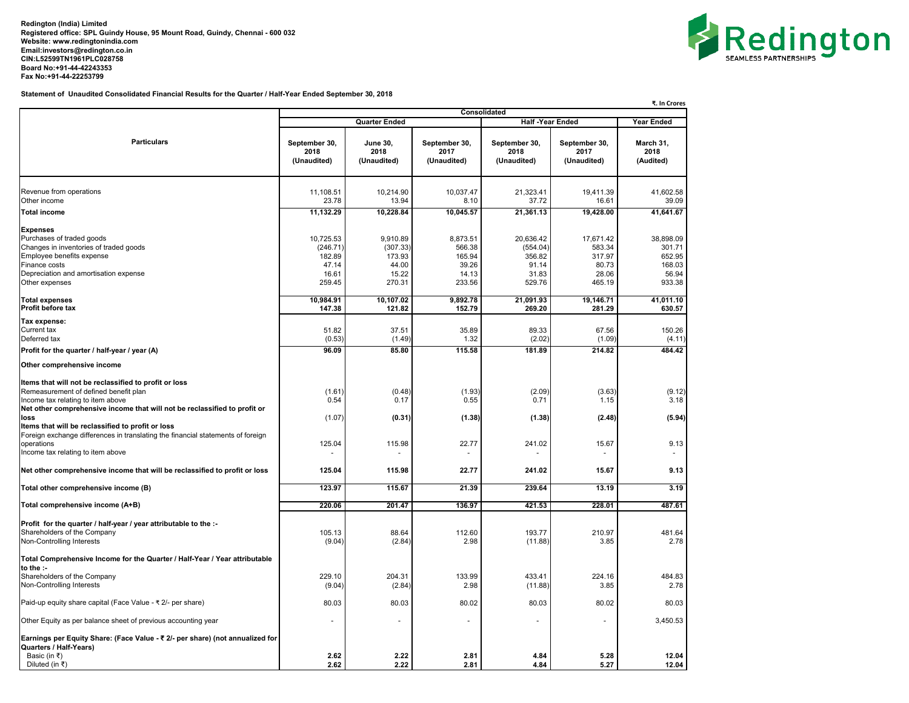**Redington (India) Limited Registered office: SPL Guindy House, 95 Mount Road, Guindy, Chennai - 600 032 Website: [www.redingtonindia.com](http://www.redingtonindia.com) [Email:investors@redington.co.in](mailto:Email:investors@redington.co.in) CIN:L52599TN1961PLC028758 Board No:+91-44-42243353 Fax No:+91-44-22253799**



**Statement of Unaudited Consolidated Financial Results for the Quarter / Half-Year Ended September 30, 2018**

|                                                                                                         | ₹. In Crores                         |                                        |                                      |                                      |                                      |                                |  |  |
|---------------------------------------------------------------------------------------------------------|--------------------------------------|----------------------------------------|--------------------------------------|--------------------------------------|--------------------------------------|--------------------------------|--|--|
|                                                                                                         | Consolidated<br>Quarter Ended        |                                        |                                      |                                      |                                      |                                |  |  |
|                                                                                                         |                                      |                                        |                                      | <b>Half -Year Ended</b>              |                                      | Year Ended                     |  |  |
| <b>Particulars</b>                                                                                      | September 30,<br>2018<br>(Unaudited) | <b>June 30,</b><br>2018<br>(Unaudited) | September 30,<br>2017<br>(Unaudited) | September 30,<br>2018<br>(Unaudited) | September 30,<br>2017<br>(Unaudited) | March 31,<br>2018<br>(Audited) |  |  |
|                                                                                                         |                                      |                                        |                                      |                                      |                                      |                                |  |  |
| Revenue from operations<br>Other income                                                                 | 11,108.51<br>23.78                   | 10,214.90<br>13.94                     | 10,037.47<br>8.10                    | 21,323.41<br>37.72                   | 19,411.39<br>16.61                   | 41,602.58<br>39.09             |  |  |
|                                                                                                         | 11,132.29                            | 10,228.84                              | 10,045.57                            | 21,361.13                            | 19,428.00                            | 41,641.67                      |  |  |
| <b>Total income</b>                                                                                     |                                      |                                        |                                      |                                      |                                      |                                |  |  |
| <b>Expenses</b>                                                                                         |                                      |                                        |                                      |                                      |                                      |                                |  |  |
| Purchases of traded goods                                                                               | 10,725.53                            | 9,910.89                               | 8,873.51                             | 20,636.42                            | 17,671.42                            | 38,898.09                      |  |  |
| Changes in inventories of traded goods                                                                  | (246.71)                             | (307.33)                               | 566.38                               | (554.04)                             | 583.34                               | 301.71                         |  |  |
| Employee benefits expense                                                                               | 182.89                               | 173.93                                 | 165.94                               | 356.82                               | 317.97                               | 652.95                         |  |  |
| Finance costs<br>Depreciation and amortisation expense                                                  | 47.14<br>16.61                       | 44.00<br>15.22                         | 39.26<br>14.13                       | 91.14<br>31.83                       | 80.73<br>28.06                       | 168.03<br>56.94                |  |  |
| Other expenses                                                                                          | 259.45                               | 270.31                                 | 233.56                               | 529.76                               | 465.19                               | 933.38                         |  |  |
|                                                                                                         |                                      |                                        |                                      |                                      |                                      |                                |  |  |
| <b>Total expenses</b>                                                                                   | 10,984.91                            | 10,107.02                              | 9,892.78                             | 21,091.93                            | 19,146.71                            | 41,011.10                      |  |  |
| Profit before tax                                                                                       | 147.38                               | 121.82                                 | 152.79                               | 269.20                               | 281.29                               | 630.57                         |  |  |
| Tax expense:                                                                                            |                                      |                                        |                                      |                                      |                                      |                                |  |  |
| Current tax                                                                                             | 51.82                                | 37.51                                  | 35.89                                | 89.33                                | 67.56                                | 150.26                         |  |  |
| Deferred tax                                                                                            | (0.53)                               | (1.49)                                 | 1.32                                 | (2.02)                               | (1.09)                               | (4.11)                         |  |  |
| Profit for the quarter / half-year / year (A)                                                           | 96.09                                | 85.80                                  | 115.58                               | 181.89                               | 214.82                               | 484.42                         |  |  |
| Other comprehensive income                                                                              |                                      |                                        |                                      |                                      |                                      |                                |  |  |
|                                                                                                         |                                      |                                        |                                      |                                      |                                      |                                |  |  |
| Items that will not be reclassified to profit or loss<br>Remeasurement of defined benefit plan          |                                      |                                        |                                      |                                      |                                      |                                |  |  |
| Income tax relating to item above                                                                       | (1.61)<br>0.54                       | (0.48)<br>0.17                         | (1.93)<br>0.55                       | (2.09)<br>0.71                       | (3.63)<br>1.15                       | (9.12)<br>3.18                 |  |  |
| Net other comprehensive income that will not be reclassified to profit or                               |                                      |                                        |                                      |                                      |                                      |                                |  |  |
| loss                                                                                                    | (1.07)                               | (0.31)                                 | (1.38)                               | (1.38)                               | (2.48)                               | (5.94)                         |  |  |
| Items that will be reclassified to profit or loss                                                       |                                      |                                        |                                      |                                      |                                      |                                |  |  |
| Foreign exchange differences in translating the financial statements of foreign                         |                                      |                                        |                                      |                                      |                                      |                                |  |  |
| operations<br>Income tax relating to item above                                                         | 125.04                               | 115.98                                 | 22.77                                | 241.02                               | 15.67                                | 9.13                           |  |  |
|                                                                                                         |                                      |                                        |                                      |                                      |                                      |                                |  |  |
| Net other comprehensive income that will be reclassified to profit or loss                              | 125.04                               | 115.98                                 | 22.77                                | 241.02                               | 15.67                                | 9.13                           |  |  |
| Total other comprehensive income (B)                                                                    | 123.97                               | 115.67                                 | 21.39                                | 239.64                               | 13.19                                | 3.19                           |  |  |
| Total comprehensive income (A+B)                                                                        | 220.06                               | 201.47                                 | 136.97                               | 421.53                               | 228.01                               | 487.61                         |  |  |
|                                                                                                         |                                      |                                        |                                      |                                      |                                      |                                |  |  |
| Profit for the quarter / half-year / year attributable to the :-                                        |                                      |                                        |                                      |                                      |                                      |                                |  |  |
| Shareholders of the Company<br>Non-Controlling Interests                                                | 105.13<br>(9.04)                     | 88.64<br>(2.84)                        | 112.60<br>2.98                       | 193.77<br>(11.88)                    | 210.97<br>3.85                       | 481.64<br>2.78                 |  |  |
|                                                                                                         |                                      |                                        |                                      |                                      |                                      |                                |  |  |
| Total Comprehensive Income for the Quarter / Half-Year / Year attributable                              |                                      |                                        |                                      |                                      |                                      |                                |  |  |
| to the :-                                                                                               |                                      |                                        |                                      |                                      |                                      |                                |  |  |
| Shareholders of the Company                                                                             | 229.10                               | 204.31                                 | 133.99                               | 433.41                               | 224.16                               | 484.83                         |  |  |
| Non-Controlling Interests                                                                               | (9.04)                               | (2.84)                                 | 2.98                                 | (11.88)                              | 3.85                                 | 2.78                           |  |  |
| Paid-up equity share capital (Face Value - ₹ 2/- per share)                                             | 80.03                                | 80.03                                  | 80.02                                | 80.03                                | 80.02                                | 80.03                          |  |  |
| Other Equity as per balance sheet of previous accounting year                                           |                                      |                                        |                                      | ÷.                                   | $\ddot{\phantom{1}}$                 | 3,450.53                       |  |  |
| Earnings per Equity Share: (Face Value - ₹ 2/- per share) (not annualized for<br>Quarters / Half-Years) |                                      |                                        |                                      |                                      |                                      |                                |  |  |
| Basic (in ₹)                                                                                            | 2.62                                 | 2.22                                   | 2.81                                 | 4.84                                 | 5.28                                 | 12.04                          |  |  |
| Diluted (in ₹)                                                                                          | 2.62                                 | 2.22                                   | 2.81                                 | 4.84                                 | 5.27                                 | 12.04                          |  |  |